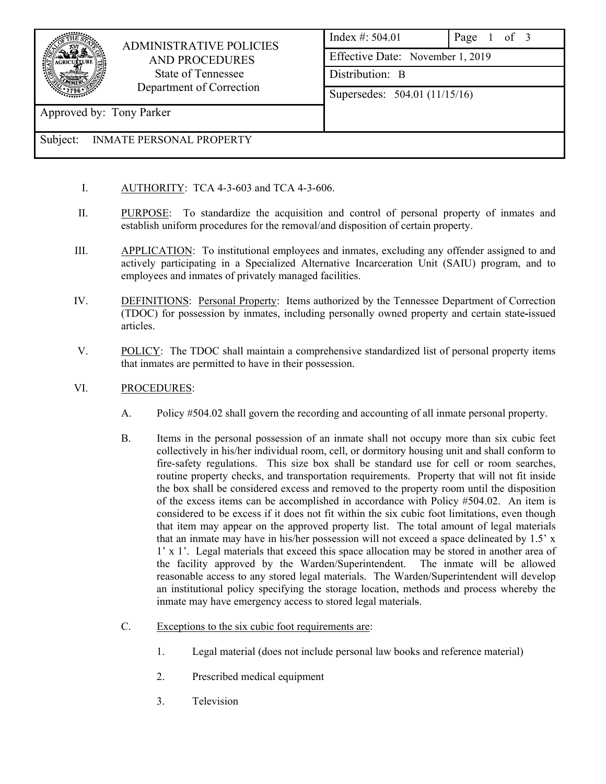

## ADMINISTRATIVE POLICIES AND PROCEDURES State of Tennessee Department of Correction

| Index #: $504.01$                |  |  |  |             |
|----------------------------------|--|--|--|-------------|
| Effective Date: November 1, 2019 |  |  |  |             |
| Distribution: B                  |  |  |  |             |
| Supersedes: 504.01 (11/15/16)    |  |  |  |             |
|                                  |  |  |  |             |
|                                  |  |  |  | Page 1 of 3 |

Approved by: Tony Parker

## Subject: INMATE PERSONAL PROPERTY

- I. AUTHORITY: TCA 4-3-603 and TCA 4-3-606.
- II. PURPOSE: To standardize the acquisition and control of personal property of inmates and establish uniform procedures for the removal/and disposition of certain property.
- III. APPLICATION: To institutional employees and inmates, excluding any offender assigned to and actively participating in a Specialized Alternative Incarceration Unit (SAIU) program, and to employees and inmates of privately managed facilities.
- IV. DEFINITIONS: Personal Property: Items authorized by the Tennessee Department of Correction (TDOC) for possession by inmates, including personally owned property and certain state**-**issued articles.
- V. POLICY: The TDOC shall maintain a comprehensive standardized list of personal property items that inmates are permitted to have in their possession.
- VI. PROCEDURES:
	- A. Policy #504.02 shall govern the recording and accounting of all inmate personal property.
	- B. Items in the personal possession of an inmate shall not occupy more than six cubic feet collectively in his/her individual room, cell, or dormitory housing unit and shall conform to fire-safety regulations. This size box shall be standard use for cell or room searches, routine property checks, and transportation requirements. Property that will not fit inside the box shall be considered excess and removed to the property room until the disposition of the excess items can be accomplished in accordance with Policy #504.02. An item is considered to be excess if it does not fit within the six cubic foot limitations, even though that item may appear on the approved property list. The total amount of legal materials that an inmate may have in his/her possession will not exceed a space delineated by 1.5' x 1' x 1'. Legal materials that exceed this space allocation may be stored in another area of the facility approved by the Warden/Superintendent. The inmate will be allowed reasonable access to any stored legal materials. The Warden/Superintendent will develop an institutional policy specifying the storage location, methods and process whereby the inmate may have emergency access to stored legal materials.
	- C. Exceptions to the six cubic foot requirements are:
		- 1. Legal material (does not include personal law books and reference material)
		- 2. Prescribed medical equipment
		- 3. Television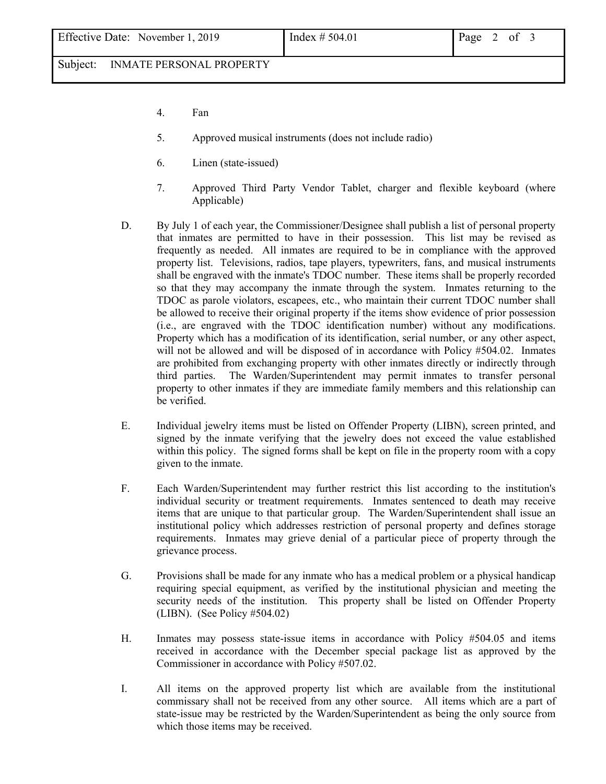Subject: INMATE PERSONAL PROPERTY

- 4. Fan
- 5. Approved musical instruments (does not include radio)
- 6. Linen (state-issued)
- 7. Approved Third Party Vendor Tablet, charger and flexible keyboard (where Applicable)
- D. By July 1 of each year, the Commissioner/Designee shall publish a list of personal property that inmates are permitted to have in their possession. This list may be revised as frequently as needed. All inmates are required to be in compliance with the approved property list. Televisions, radios, tape players, typewriters, fans, and musical instruments shall be engraved with the inmate's TDOC number. These items shall be properly recorded so that they may accompany the inmate through the system. Inmates returning to the TDOC as parole violators, escapees, etc., who maintain their current TDOC number shall be allowed to receive their original property if the items show evidence of prior possession (i.e., are engraved with the TDOC identification number) without any modifications. Property which has a modification of its identification, serial number, or any other aspect, will not be allowed and will be disposed of in accordance with Policy #504.02. Inmates are prohibited from exchanging property with other inmates directly or indirectly through third parties. The Warden/Superintendent may permit inmates to transfer personal property to other inmates if they are immediate family members and this relationship can be verified.
- E. Individual jewelry items must be listed on Offender Property (LIBN), screen printed, and signed by the inmate verifying that the jewelry does not exceed the value established within this policy. The signed forms shall be kept on file in the property room with a copy given to the inmate.
- F. Each Warden/Superintendent may further restrict this list according to the institution's individual security or treatment requirements. Inmates sentenced to death may receive items that are unique to that particular group. The Warden/Superintendent shall issue an institutional policy which addresses restriction of personal property and defines storage requirements. Inmates may grieve denial of a particular piece of property through the grievance process.
- G. Provisions shall be made for any inmate who has a medical problem or a physical handicap requiring special equipment, as verified by the institutional physician and meeting the security needs of the institution. This property shall be listed on Offender Property (LIBN). (See Policy #504.02)
- H. Inmates may possess state-issue items in accordance with Policy #504.05 and items received in accordance with the December special package list as approved by the Commissioner in accordance with Policy #507.02.
- I. All items on the approved property list which are available from the institutional commissary shall not be received from any other source. All items which are a part of state-issue may be restricted by the Warden/Superintendent as being the only source from which those items may be received.